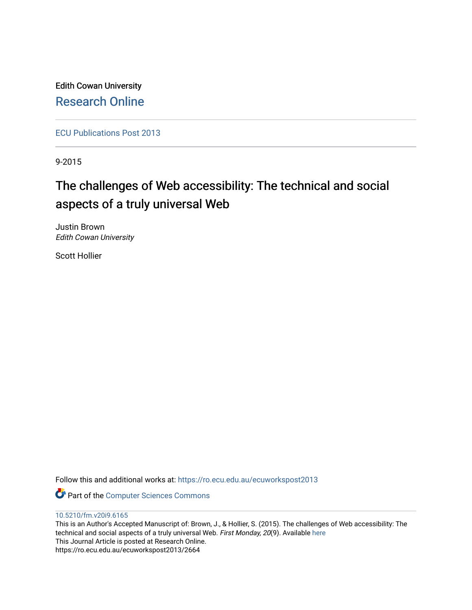Edith Cowan University [Research Online](https://ro.ecu.edu.au/) 

[ECU Publications Post 2013](https://ro.ecu.edu.au/ecuworkspost2013)

9-2015

# The challenges of Web accessibility: The technical and social aspects of a truly universal Web

Justin Brown Edith Cowan University

Scott Hollier

Follow this and additional works at: [https://ro.ecu.edu.au/ecuworkspost2013](https://ro.ecu.edu.au/ecuworkspost2013?utm_source=ro.ecu.edu.au%2Fecuworkspost2013%2F2664&utm_medium=PDF&utm_campaign=PDFCoverPages) 

Part of the [Computer Sciences Commons](http://network.bepress.com/hgg/discipline/142?utm_source=ro.ecu.edu.au%2Fecuworkspost2013%2F2664&utm_medium=PDF&utm_campaign=PDFCoverPages)

# [10.5210/fm.v20i9.6165](http://dx.doi.org/10.5210/fm.v20i9.6165)

This is an Author's Accepted Manuscript of: Brown, J., & Hollier, S. (2015). The challenges of Web accessibility: The technical and social aspects of a truly universal Web. First Monday, 20(9). Available here This Journal Article is posted at Research Online. https://ro.ecu.edu.au/ecuworkspost2013/2664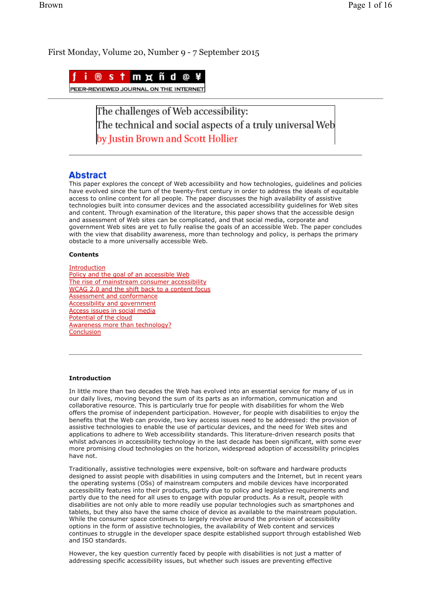First Monday, Volume 20, Number 9 - 7 September 2015



The challenges of Web accessibility: The technical and social aspects of a truly universal Web by Justin Brown and Scott Hollier

# **Abstract**

This paper explores the concept of Web accessibility and how technologies, guidelines and policies have evolved since the turn of the twenty-first century in order to address the ideals of equitable access to online content for all people. The paper discusses the high availability of assistive technologies built into consumer devices and the associated accessibility guidelines for Web sites and content. Through examination of the literature, this paper shows that the accessible design and assessment of Web sites can be complicated, and that social media, corporate and government Web sites are yet to fully realise the goals of an accessible Web. The paper concludes with the view that disability awareness, more than technology and policy, is perhaps the primary obstacle to a more universally accessible Web.

#### **Contents**

Introduction Policy and the goal of an accessible Web The rise of mainstream consumer accessibility WCAG 2.0 and the shift back to a content focus Assessment and conformance Accessibility and government Access issues in social media Potential of the cloud Awareness more than technology? Conclusion

## **Introduction**

In little more than two decades the Web has evolved into an essential service for many of us in our daily lives, moving beyond the sum of its parts as an information, communication and collaborative resource. This is particularly true for people with disabilities for whom the Web offers the promise of independent participation. However, for people with disabilities to enjoy the benefits that the Web can provide, two key access issues need to be addressed: the provision of assistive technologies to enable the use of particular devices, and the need for Web sites and applications to adhere to Web accessibility standards. This literature-driven research posits that whilst advances in accessibility technology in the last decade has been significant, with some ever more promising cloud technologies on the horizon, widespread adoption of accessibility principles have not.

Traditionally, assistive technologies were expensive, bolt-on software and hardware products designed to assist people with disabilities in using computers and the Internet, but in recent years the operating systems (OSs) of mainstream computers and mobile devices have incorporated accessibility features into their products, partly due to policy and legislative requirements and partly due to the need for all uses to engage with popular products. As a result, people with disabilities are not only able to more readily use popular technologies such as smartphones and tablets, but they also have the same choice of device as available to the mainstream population. While the consumer space continues to largely revolve around the provision of accessibility options in the form of assistive technologies, the availability of Web content and services continues to struggle in the developer space despite established support through established Web and ISO standards.

However, the key question currently faced by people with disabilities is not just a matter of addressing specific accessibility issues, but whether such issues are preventing effective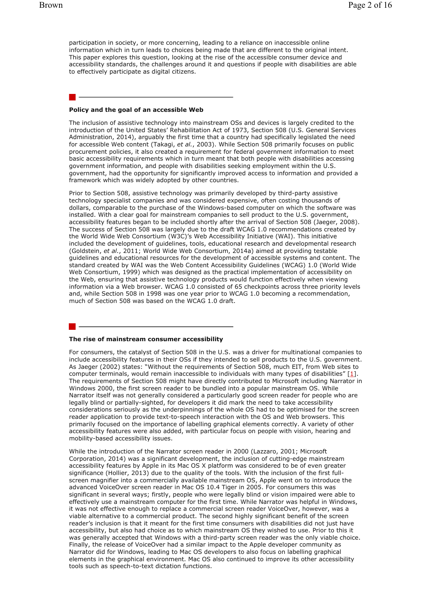participation in society, or more concerning, leading to a reliance on inaccessible online information which in turn leads to choices being made that are different to the original intent. This paper explores this question, looking at the rise of the accessible consumer device and accessibility standards, the challenges around it and questions if people with disabilities are able to effectively participate as digital citizens.

#### **Policy and the goal of an accessible Web**

The inclusion of assistive technology into mainstream OSs and devices is largely credited to the introduction of the United States' Rehabilitation Act of 1973, Section 508 (U.S. General Services Administration, 2014), arguably the first time that a country had specifically legislated the need for accessible Web content (Takagi, *et al.*, 2003). While Section 508 primarily focuses on public procurement policies, it also created a requirement for federal government information to meet basic accessibility requirements which in turn meant that both people with disabilities accessing government information, and people with disabilities seeking employment within the U.S. government, had the opportunity for significantly improved access to information and provided a framework which was widely adopted by other countries.

Prior to Section 508, assistive technology was primarily developed by third-party assistive technology specialist companies and was considered expensive, often costing thousands of dollars, comparable to the purchase of the Windows-based computer on which the software was installed. With a clear goal for mainstream companies to sell product to the U.S. government, accessibility features began to be included shortly after the arrival of Section 508 (Jaeger, 2008). The success of Section 508 was largely due to the draft WCAG 1.0 recommendations created by the World Wide Web Consortium (W3C)'s Web Accessibility Initiative (WAI). This initiative included the development of guidelines, tools, educational research and developmental research (Goldstein, *et al.*, 2011; World Wide Web Consortium, 2014a) aimed at providing testable guidelines and educational resources for the development of accessible systems and content. The standard created by WAI was the Web Content Accessibility Guidelines (WCAG) 1.0 (World Wide Web Consortium, 1999) which was designed as the practical implementation of accessibility on the Web, ensuring that assistive technology products would function effectively when viewing information via a Web browser. WCAG 1.0 consisted of 65 checkpoints across three priority levels and, while Section 508 in 1998 was one year prior to WCAG 1.0 becoming a recommendation, much of Section 508 was based on the WCAG 1.0 draft.

#### **The rise of mainstream consumer accessibility**

For consumers, the catalyst of Section 508 in the U.S. was a driver for multinational companies to include accessibility features in their OSs if they intended to sell products to the U.S. government. As Jaeger (2002) states: "Without the requirements of Section 508, much EIT, from Web sites to computer terminals, would remain inaccessible to individuals with many types of disabilities" [1]. The requirements of Section 508 might have directly contributed to Microsoft including Narrator in Windows 2000, the first screen reader to be bundled into a popular mainstream OS. While Narrator itself was not generally considered a particularly good screen reader for people who are legally blind or partially-sighted, for developers it did mark the need to take accessibility considerations seriously as the underpinnings of the whole OS had to be optimised for the screen reader application to provide text-to-speech interaction with the OS and Web browsers. This primarily focused on the importance of labelling graphical elements correctly. A variety of other accessibility features were also added, with particular focus on people with vision, hearing and mobility-based accessibility issues.

While the introduction of the Narrator screen reader in 2000 (Lazzaro, 2001; Microsoft Corporation, 2014) was a significant development, the inclusion of cutting-edge mainstream accessibility features by Apple in its Mac OS X platform was considered to be of even greater significance (Hollier, 2013) due to the quality of the tools. With the inclusion of the first fullscreen magnifier into a commercially available mainstream OS, Apple went on to introduce the advanced VoiceOver screen reader in Mac OS 10.4 Tiger in 2005. For consumers this was significant in several ways; firstly, people who were legally blind or vision impaired were able to effectively use a mainstream computer for the first time. While Narrator was helpful in Windows, it was not effective enough to replace a commercial screen reader VoiceOver, however, was a viable alternative to a commercial product. The second highly significant benefit of the screen reader's inclusion is that it meant for the first time consumers with disabilities did not just have accessibility, but also had choice as to which mainstream OS they wished to use. Prior to this it was generally accepted that Windows with a third-party screen reader was the only viable choice. Finally, the release of VoiceOver had a similar impact to the Apple developer community as Narrator did for Windows, leading to Mac OS developers to also focus on labelling graphical elements in the graphical environment. Mac OS also continued to improve its other accessibility tools such as speech-to-text dictation functions.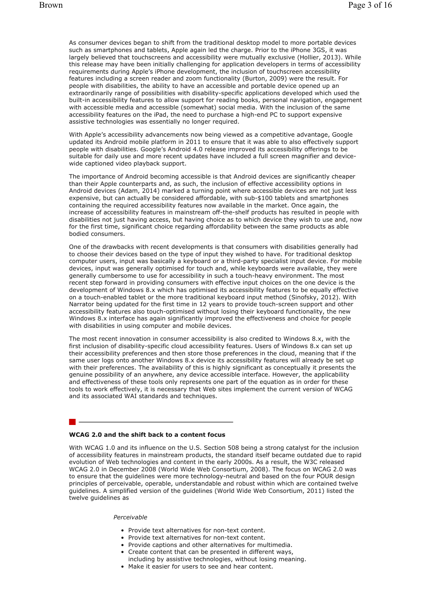As consumer devices began to shift from the traditional desktop model to more portable devices such as smartphones and tablets, Apple again led the charge. Prior to the iPhone 3GS, it was largely believed that touchscreens and accessibility were mutually exclusive (Hollier, 2013). While this release may have been initially challenging for application developers in terms of accessibility requirements during Apple's iPhone development, the inclusion of touchscreen accessibility features including a screen reader and zoom functionality (Burton, 2009) were the result. For people with disabilities, the ability to have an accessible and portable device opened up an extraordinarily range of possibilities with disability-specific applications developed which used the built-in accessibility features to allow support for reading books, personal navigation, engagement with accessible media and accessible (somewhat) social media. With the inclusion of the same accessibility features on the iPad, the need to purchase a high-end PC to support expensive assistive technologies was essentially no longer required.

With Apple's accessibility advancements now being viewed as a competitive advantage, Google updated its Android mobile platform in 2011 to ensure that it was able to also effectively support people with disabilities. Google's Android 4.0 release improved its accessibility offerings to be suitable for daily use and more recent updates have included a full screen magnifier and devicewide captioned video playback support.

The importance of Android becoming accessible is that Android devices are significantly cheaper than their Apple counterparts and, as such, the inclusion of effective accessibility options in Android devices (Adam, 2014) marked a turning point where accessible devices are not just less expensive, but can actually be considered affordable, with sub-\$100 tablets and smartphones containing the required accessibility features now available in the market. Once again, the increase of accessibility features in mainstream off-the-shelf products has resulted in people with disabilities not just having access, but having choice as to which device they wish to use and, now for the first time, significant choice regarding affordability between the same products as able bodied consumers.

One of the drawbacks with recent developments is that consumers with disabilities generally had to choose their devices based on the type of input they wished to have. For traditional desktop computer users, input was basically a keyboard or a third-party specialist input device. For mobile devices, input was generally optimised for touch and, while keyboards were available, they were generally cumbersome to use for accessibility in such a touch-heavy environment. The most recent step forward in providing consumers with effective input choices on the one device is the development of Windows 8.x which has optimised its accessibility features to be equally effective on a touch-enabled tablet or the more traditional keyboard input method (Sinofsky, 2012). With Narrator being updated for the first time in 12 years to provide touch-screen support and other accessibility features also touch-optimised without losing their keyboard functionality, the new Windows 8.x interface has again significantly improved the effectiveness and choice for people with disabilities in using computer and mobile devices.

The most recent innovation in consumer accessibility is also credited to Windows 8.x, with the first inclusion of disability-specific cloud accessibility features. Users of Windows 8.x can set up their accessibility preferences and then store those preferences in the cloud, meaning that if the same user logs onto another Windows 8.x device its accessibility features will already be set up with their preferences. The availability of this is highly significant as conceptually it presents the genuine possibility of an anywhere, any device accessible interface. However, the applicability and effectiveness of these tools only represents one part of the equation as in order for these tools to work effectively, it is necessary that Web sites implement the current version of WCAG and its associated WAI standards and techniques.

#### **WCAG 2.0 and the shift back to a content focus**

With WCAG 1.0 and its influence on the U.S. Section 508 being a strong catalyst for the inclusion of accessibility features in mainstream products, the standard itself became outdated due to rapid evolution of Web technologies and content in the early 2000s. As a result, the W3C released WCAG 2.0 in December 2008 (World Wide Web Consortium, 2008). The focus on WCAG 2.0 was to ensure that the guidelines were more technology-neutral and based on the four POUR design principles of perceivable, operable, understandable and robust within which are contained twelve guidelines. A simplified version of the guidelines (World Wide Web Consortium, 2011) listed the twelve guidelines as

#### *Perceivable*

- Provide text alternatives for non-text content.
- Provide text alternatives for non-text content.
- Provide captions and other alternatives for multimedia.
- Create content that can be presented in different ways, including by assistive technologies, without losing meaning.
- Make it easier for users to see and hear content.
-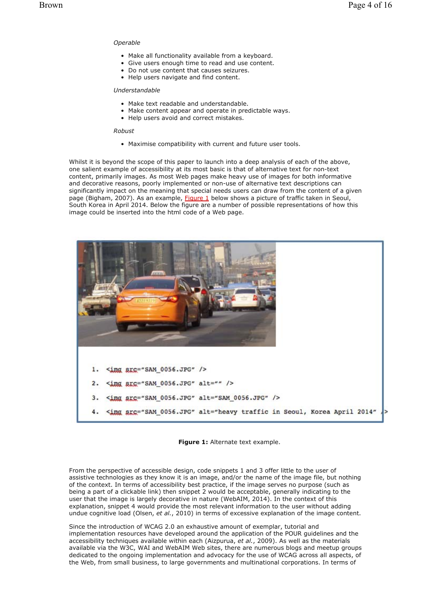# *Operable*

- Make all functionality available from a keyboard.
- Give users enough time to read and use content.
- Do not use content that causes seizures.
- Help users navigate and find content.

### *Understandable*

- Make text readable and understandable.
- Make content appear and operate in predictable ways.
- Help users avoid and correct mistakes.

#### *Robust*

• Maximise compatibility with current and future user tools.

Whilst it is beyond the scope of this paper to launch into a deep analysis of each of the above, one salient example of accessibility at its most basic is that of alternative text for non-text content, primarily images. As most Web pages make heavy use of images for both informative and decorative reasons, poorly implemented or non-use of alternative text descriptions can significantly impact on the meaning that special needs users can draw from the content of a given page (Bigham, 2007). As an example, Figure 1 below shows a picture of traffic taken in Seoul, South Korea in April 2014. Below the figure are a number of possible representations of how this image could be inserted into the html code of a Web page.





From the perspective of accessible design, code snippets 1 and 3 offer little to the user of assistive technologies as they know it is an image, and/or the name of the image file, but nothing of the context. In terms of accessibility best practice, if the image serves no purpose (such as being a part of a clickable link) then snippet 2 would be acceptable, generally indicating to the user that the image is largely decorative in nature (WebAIM, 2014). In the context of this explanation, snippet 4 would provide the most relevant information to the user without adding undue cognitive load (Olsen, *et al.*, 2010) in terms of excessive explanation of the image content.

Since the introduction of WCAG 2.0 an exhaustive amount of exemplar, tutorial and implementation resources have developed around the application of the POUR guidelines and the accessibility techniques available within each (Aizpurua, *et al.*, 2009). As well as the materials available via the W3C, WAI and WebAIM Web sites, there are numerous blogs and meetup groups dedicated to the ongoing implementation and advocacy for the use of WCAG across all aspects, of the Web, from small business, to large governments and multinational corporations. In terms of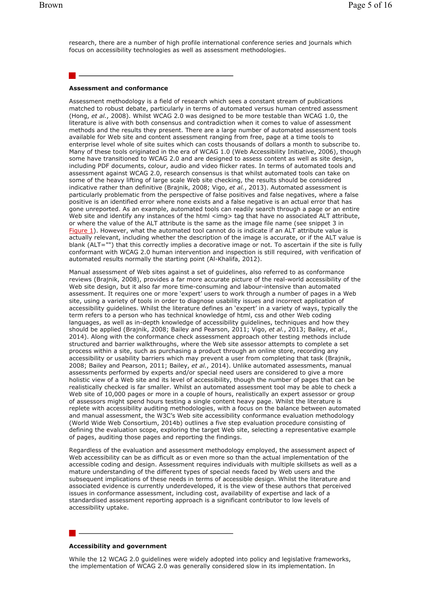research, there are a number of high profile international conference series and journals which focus on accessibility technologies as well as assessment methodologies.

#### **Assessment and conformance**

Assessment methodology is a field of research which sees a constant stream of publications matched to robust debate, particularly in terms of automated versus human centred assessment (Hong, *et al.*, 2008). Whilst WCAG 2.0 was designed to be more testable than WCAG 1.0, the literature is alive with both consensus and contradiction when it comes to value of assessment methods and the results they present. There are a large number of automated assessment tools available for Web site and content assessment ranging from free, page at a time tools to enterprise level whole of site suites which can costs thousands of dollars a month to subscribe to. Many of these tools originated in the era of WCAG 1.0 (Web Accessibility Initiative, 2006), though some have transitioned to WCAG 2.0 and are designed to assess content as well as site design, including PDF documents, colour, audio and video flicker rates. In terms of automated tools and assessment against WCAG 2.0, research consensus is that whilst automated tools can take on some of the heavy lifting of large scale Web site checking, the results should be considered indicative rather than definitive (Brajnik, 2008; Vigo, *et al.*, 2013). Automated assessment is particularly problematic from the perspective of false positives and false negatives, where a false positive is an identified error where none exists and a false negative is an actual error that has gone unreported. As an example, automated tools can readily search through a page or an entire Web site and identify any instances of the html <img> tag that have no associated ALT attribute, or where the value of the ALT attribute is the same as the image file name (see snippet 3 in Figure 1). However, what the automated tool cannot do is indicate if an ALT attribute value is actually relevant, including whether the description of the image is accurate, or if the ALT value is blank (ALT="") that this correctly implies a decorative image or not. To ascertain if the site is fully conformant with WCAG 2.0 human intervention and inspection is still required, with verification of automated results normally the starting point (Al-Khalifa, 2012).

Manual assessment of Web sites against a set of guidelines, also referred to as conformance reviews (Brajnik, 2008), provides a far more accurate picture of the real-world accessibility of the Web site design, but it also far more time-consuming and labour-intensive than automated assessment. It requires one or more 'expert' users to work through a number of pages in a Web site, using a variety of tools in order to diagnose usability issues and incorrect application of accessibility guidelines. Whilst the literature defines an 'expert' in a variety of ways, typically the term refers to a person who has technical knowledge of html, css and other Web coding languages, as well as in-depth knowledge of accessibility guidelines, techniques and how they should be applied (Brajnik, 2008; Bailey and Pearson, 2011; Vigo, *et al.*, 2013; Bailey, *et al.*, 2014). Along with the conformance check assessment approach other testing methods include structured and barrier walkthroughs, where the Web site assessor attempts to complete a set process within a site, such as purchasing a product through an online store, recording any accessibility or usability barriers which may prevent a user from completing that task (Brajnik, 2008; Bailey and Pearson, 2011; Bailey, *et al.*, 2014). Unlike automated assessments, manual assessments performed by experts and/or special need users are considered to give a more holistic view of a Web site and its level of accessibility, though the number of pages that can be realistically checked is far smaller. Whilst an automated assessment tool may be able to check a Web site of 10,000 pages or more in a couple of hours, realistically an expert assessor or group of assessors might spend hours testing a single content heavy page. Whilst the literature is replete with accessibility auditing methodologies, with a focus on the balance between automated and manual assessment, the W3C's Web site accessibility conformance evaluation methodology (World Wide Web Consortium, 2014b) outlines a five step evaluation procedure consisting of defining the evaluation scope, exploring the target Web site, selecting a representative example of pages, auditing those pages and reporting the findings.

Regardless of the evaluation and assessment methodology employed, the assessment aspect of Web accessibility can be as difficult as or even more so than the actual implementation of the accessible coding and design. Assessment requires individuals with multiple skillsets as well as a mature understanding of the different types of special needs faced by Web users and the subsequent implications of these needs in terms of accessible design. Whilst the literature and associated evidence is currently underdeveloped, it is the view of these authors that perceived issues in conformance assessment, including cost, availability of expertise and lack of a standardised assessment reporting approach is a significant contributor to low levels of accessibility uptake.

#### **Accessibility and government**

While the 12 WCAG 2.0 guidelines were widely adopted into policy and legislative frameworks, the implementation of WCAG 2.0 was generally considered slow in its implementation. In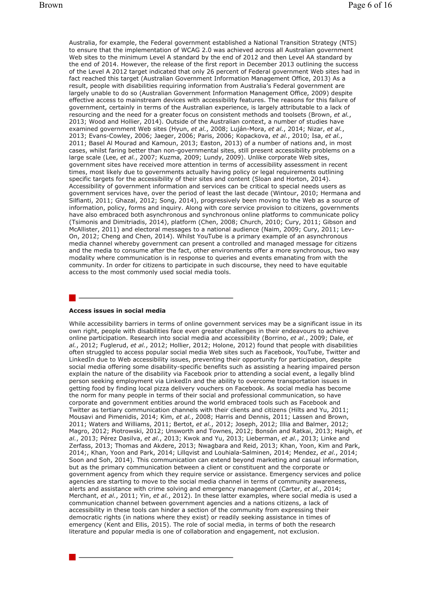Australia, for example, the Federal government established a National Transition Strategy (NTS) to ensure that the implementation of WCAG 2.0 was achieved across all Australian government Web sites to the minimum Level A standard by the end of 2012 and then Level AA standard by the end of 2014. However, the release of the first report in December 2013 outlining the success of the Level A 2012 target indicated that only 26 percent of Federal government Web sites had in fact reached this target (Australian Government Information Management Office, 2013) As a result, people with disabilities requiring information from Australia's Federal government are largely unable to do so (Australian Government Information Management Office, 2009) despite effective access to mainstream devices with accessibility features. The reasons for this failure of government, certainly in terms of the Australian experience, is largely attributable to a lack of resourcing and the need for a greater focus on consistent methods and toolsets (Brown, *et al.*, 2013; Wood and Hollier, 2014). Outside of the Australian context, a number of studies have examined government Web sites (Hyun, *et al.*, 2008; Luján-Mora, *et al.*, 2014; Nizar, *et al.*, 2013; Evans-Cowley, 2006; Jaeger, 2006; Paris, 2006; Kopackova, *et al.*, 2010; Isa, *et al.*, 2011; Basel Al Mourad and Kamoun, 2013; Easton, 2013) of a number of nations and, in most cases, whilst faring better than non-governmental sites, still present accessibility problems on a large scale (Lee, *et al.*, 2007; Kuzma, 2009; Lundy, 2009). Unlike corporate Web sites, government sites have received more attention in terms of accessibility assessment in recent times, most likely due to governments actually having policy or legal requirements outlining specific targets for the accessibility of their sites and content (Sloan and Horton, 2014). Accessibility of government information and services can be critical to special needs users as government services have, over the period of least the last decade (Wintour, 2010; Hermana and Silfianti, 2011; Ghazal, 2012; Song, 2014), progressively been moving to the Web as a source of information, policy, forms and inquiry. Along with core service provision to citizens, governments have also embraced both asynchronous and synchronous online platforms to communicate policy (Tsimonis and Dimitriadis, 2014), platform (Chen, 2008; Church, 2010; Cury, 2011; Gibson and McAllister, 2011) and electoral messages to a national audience (Naim, 2009; Cury, 2011; Lev-On, 2012; Cheng and Chen, 2014). Whilst YouTube is a primary example of an asynchronous media channel whereby government can present a controlled and managed message for citizens and the media to consume after the fact, other environments offer a more synchronous, two way modality where communication is in response to queries and events emanating from with the community. In order for citizens to participate in such discourse, they need to have equitable access to the most commonly used social media tools.

#### **Access issues in social media**

While accessibility barriers in terms of online government services may be a significant issue in its own right, people with disabilities face even greater challenges in their endeavours to achieve online participation. Research into social media and accessibility (Borrino, *et al.*, 2009; Dale, *et al.*, 2012; Fuglerud, *et al.*, 2012; Hollier, 2012; Holone, 2012) found that people with disabilities often struggled to access popular social media Web sites such as Facebook, YouTube, Twitter and LinkedIn due to Web accessibility issues, preventing their opportunity for participation, despite social media offering some disability-specific benefits such as assisting a hearing impaired person explain the nature of the disability via Facebook prior to attending a social event, a legally blind person seeking employment via LinkedIn and the ability to overcome transportation issues in getting food by finding local pizza delivery vouchers on Facebook. As social media has become the norm for many people in terms of their social and professional communication, so have corporate and government entities around the world embraced tools such as Facebook and Twitter as tertiary communication channels with their clients and citizens (Hilts and Yu, 2011; Mousavi and Pimenidis, 2014; Kim, *et al.*, 2008; Harris and Dennis, 2011; Lassen and Brown, 2011; Waters and Williams, 2011; Bertot, *et al.*, 2012; Joseph, 2012; Illia and Balmer, 2012; Magro, 2012; Piotrowski, 2012; Unsworth and Townes, 2012; Bonsón and Ratkai, 2013; Haigh, *et al.*, 2013; Pérez Dasilva, *et al.*, 2013; Kwok and Yu, 2013; Lieberman, *et al.*, 2013; Linke and Zerfass, 2013; Thomas and Akdere, 2013; Nwagbara and Reid, 2013; Khan, Yoon, Kim and Park, 2014;, Khan, Yoon and Park, 2014; Lillqvist and Louhiala-Salminen, 2014; Mendez, *et al.*, 2014; Soon and Soh, 2014). This communication can extend beyond marketing and casual information, but as the primary communication between a client or constituent and the corporate or government agency from which they require service or assistance. Emergency services and police agencies are starting to move to the social media channel in terms of community awareness, alerts and assistance with crime solving and emergency management (Carter, *et al.*, 2014; Merchant, *et al.*, 2011; Yin, *et al.*, 2012). In these latter examples, where social media is used a communication channel between government agencies and a nations citizens, a lack of accessibility in these tools can hinder a section of the community from expressing their democratic rights (in nations where they exist) or readily seeking assistance in times of emergency (Kent and Ellis, 2015). The role of social media, in terms of both the research literature and popular media is one of collaboration and engagement, not exclusion.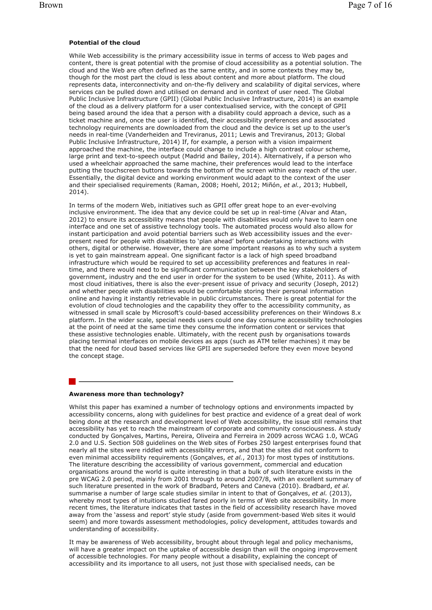#### **Potential of the cloud**

While Web accessibility is the primary accessibility issue in terms of access to Web pages and content, there is great potential with the promise of cloud accessibility as a potential solution. The cloud and the Web are often defined as the same entity, and in some contexts they may be, though for the most part the cloud is less about content and more about platform. The cloud represents data, interconnectivity and on-the-fly delivery and scalability of digital services, where services can be pulled down and utilised on demand and in context of user need. The Global Public Inclusive Infrastructure (GPII) (Global Public Inclusive Infrastructure, 2014) is an example of the cloud as a delivery platform for a user contextualised service, with the concept of GPII being based around the idea that a person with a disability could approach a device, such as a ticket machine and, once the user is identified, their accessibility preferences and associated technology requirements are downloaded from the cloud and the device is set up to the user's needs in real-time (Vanderheiden and Treviranus, 2011; Lewis and Treviranus, 2013; Global Public Inclusive Infrastructure, 2014) If, for example, a person with a vision impairment approached the machine, the interface could change to include a high contrast colour scheme, large print and text-to-speech output (Madrid and Bailey, 2014). Alternatively, if a person who used a wheelchair approached the same machine, their preferences would lead to the interface putting the touchscreen buttons towards the bottom of the screen within easy reach of the user. Essentially, the digital device and working environment would adapt to the context of the user and their specialised requirements (Raman, 2008; Hoehl, 2012; Miñón, *et al.*, 2013; Hubbell, 2014).

In terms of the modern Web, initiatives such as GPII offer great hope to an ever-evolving inclusive environment. The idea that any device could be set up in real-time (Alvar and Atan, 2012) to ensure its accessibility means that people with disabilities would only have to learn one interface and one set of assistive technology tools. The automated process would also allow for instant participation and avoid potential barriers such as Web accessibility issues and the everpresent need for people with disabilities to 'plan ahead' before undertaking interactions with others, digital or otherwise. However, there are some important reasons as to why such a system is yet to gain mainstream appeal. One significant factor is a lack of high speed broadband infrastructure which would be required to set up accessibility preferences and features in realtime, and there would need to be significant communication between the key stakeholders of government, industry and the end user in order for the system to be used (White, 2011). As with most cloud initiatives, there is also the ever-present issue of privacy and security (Joseph, 2012) and whether people with disabilities would be comfortable storing their personal information online and having it instantly retrievable in public circumstances. There is great potential for the evolution of cloud technologies and the capability they offer to the accessibility community, as witnessed in small scale by Microsoft's could-based accessibility preferences on their Windows 8.x platform. In the wider scale, special needs users could one day consume accessibility technologies at the point of need at the same time they consume the information content or services that these assistive technologies enable. Ultimately, with the recent push by organisations towards placing terminal interfaces on mobile devices as apps (such as ATM teller machines) it may be that the need for cloud based services like GPII are superseded before they even move beyond the concept stage.

#### **Awareness more than technology?**

Whilst this paper has examined a number of technology options and environments impacted by accessibility concerns, along with guidelines for best practice and evidence of a great deal of work being done at the research and development level of Web accessibility, the issue still remains that accessibility has yet to reach the mainstream of corporate and community consciousness. A study conducted by Gonçalves, Martins, Pereira, Oliveira and Ferreira in 2009 across WCAG 1.0, WCAG 2.0 and U.S. Section 508 guidelines on the Web sites of Forbes 250 largest enterprises found that nearly all the sites were riddled with accessibility errors, and that the sites did not conform to even minimal accessibility requirements (Gonçalves, *et al.*, 2013) for most types of institutions. The literature describing the accessibility of various government, commercial and education organisations around the world is quite interesting in that a bulk of such literature exists in the pre WCAG 2.0 period, mainly from 2001 through to around 2007/8, with an excellent summary of such literature presented in the work of Bradbard, Peters and Caneva (2010). Bradbard, *et al.* summarise a number of large scale studies similar in intent to that of Gonçalves, *et al.* (2013), whereby most types of intuitions studied fared poorly in terms of Web site accessibility. In more recent times, the literature indicates that tastes in the field of accessibility research have moved away from the 'assess and report' style study (aside from government-based Web sites it would seem) and more towards assessment methodologies, policy development, attitudes towards and understanding of accessibility.

It may be awareness of Web accessibility, brought about through legal and policy mechanisms, will have a greater impact on the uptake of accessible design than will the ongoing improvement of accessible technologies. For many people without a disability, explaining the concept of accessibility and its importance to all users, not just those with specialised needs, can be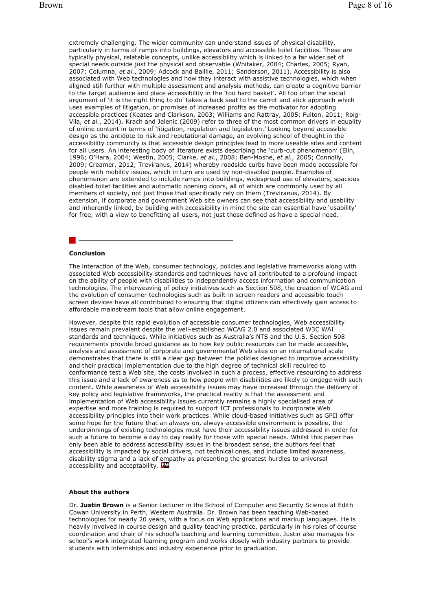extremely challenging. The wider community can understand issues of physical disability, particularly in terms of ramps into buildings, elevators and accessible toilet facilities. These are typically physical, relatable concepts, unlike accessibility which is linked to a far wider set of special needs outside just the physical and observable (Whitaker, 2004; Charles, 2005; Ryan, 2007; Columna, *et al.*, 2009; Adcock and Baillie, 2011; Sanderson, 2011). Accessibility is also associated with Web technologies and how they interact with assistive technologies, which when aligned still further with multiple assessment and analysis methods, can create a cognitive barrier to the target audience and place accessibility in the 'too hard basket'. All too often the social argument of 'it is the right thing to do' takes a back seat to the carrot and stick approach which uses examples of litigation, or promises of increased profits as the motivator for adopting accessible practices (Keates and Clarkson, 2003; Williams and Rattray, 2005; Fulton, 2011; Roig-Vila, *et al.*, 2014). Krach and Jelenic (2009) refer to three of the most common drivers in equality of online content in terms of 'litigation, regulation and legislation.' Looking beyond accessible design as the antidote to risk and reputational damage, an evolving school of thought in the accessibility community is that accessible design principles lead to more useable sites and content for all users. An interesting body of literature exists describing the 'curb-cut phenomenon' (Elin, 1996; O'Hara, 2004; Westin, 2005; Clarke, *et al.*, 2008; Ben-Moshe, *et al.*, 2005; Connolly, 2009; Creamer, 2012; Treviranus, 2014) whereby roadside curbs have been made accessible for people with mobility issues, which in turn are used by non-disabled people. Examples of phenomenon are extended to include ramps into buildings, widespread use of elevators, spacious disabled toilet facilities and automatic opening doors, all of which are commonly used by all members of society, not just those that specifically rely on them (Treviranus, 2014). By extension, if corporate and government Web site owners can see that accessibility and usability and inherently linked, by building with accessibility in mind the site can essential have 'usability' for free, with a view to benefitting all users, not just those defined as have a special need.

#### **Conclusion**

The interaction of the Web, consumer technology, policies and legislative frameworks along with associated Web accessibility standards and techniques have all contributed to a profound impact on the ability of people with disabilities to independently access information and communication technologies. The interweaving of policy initiatives such as Section 508, the creation of WCAG and the evolution of consumer technologies such as built-in screen readers and accessible touch screen devices have all contributed to ensuring that digital citizens can effectively gain access to affordable mainstream tools that allow online engagement.

However, despite this rapid evolution of accessible consumer technologies, Web accessibility issues remain prevalent despite the well-established WCAG 2.0 and associated W3C WAI standards and techniques. While initiatives such as Australia's NTS and the U.S. Section 508 requirements provide broad guidance as to how key public resources can be made accessible, analysis and assessment of corporate and governmental Web sites on an international scale demonstrates that there is still a clear gap between the policies designed to improve accessibility and their practical implementation due to the high degree of technical skill required to conformance test a Web site, the costs involved in such a process, effective resourcing to address this issue and a lack of awareness as to how people with disabilities are likely to engage with such content. While awareness of Web accessibility issues may have increased through the delivery of key policy and legislative frameworks, the practical reality is that the assessment and implementation of Web accessibility issues currently remains a highly specialised area of expertise and more training is required to support ICT professionals to incorporate Web accessibility principles into their work practices. While cloud-based initiatives such as GPII offer some hope for the future that an always-on, always-accessible environment is possible, the underpinnings of existing technologies must have their accessibility issues addressed in order for such a future to become a day to day reality for those with special needs. Whilst this paper has only been able to address accessibility issues in the broadest sense, the authors feel that accessibility is impacted by social drivers, not technical ones, and include limited awareness, disability stigma and a lack of empathy as presenting the greatest hurdles to universal accessibility and acceptability. FM

#### **About the authors**

Dr. **Justin Brown** is a Senior Lecturer in the School of Computer and Security Science at Edith Cowan University in Perth, Western Australia. Dr. Brown has been teaching Web-based technologies for nearly 20 years, with a focus on Web applications and markup languages. He is heavily involved in course design and quality teaching practice, particularly in his roles of course coordination and chair of his school's teaching and learning committee. Justin also manages his school's work integrated learning program and works closely with industry partners to provide students with internships and industry experience prior to graduation.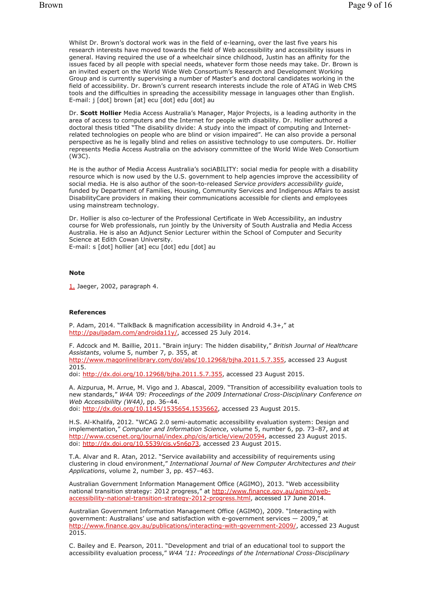Whilst Dr. Brown's doctoral work was in the field of e-learning, over the last five years his research interests have moved towards the field of Web accessibility and accessibility issues in general. Having required the use of a wheelchair since childhood, Justin has an affinity for the issues faced by all people with special needs, whatever form those needs may take. Dr. Brown is an invited expert on the World Wide Web Consortium's Research and Development Working Group and is currently supervising a number of Master's and doctoral candidates working in the field of accessibility. Dr. Brown's current research interests include the role of ATAG in Web CMS tools and the difficulties in spreading the accessibility message in languages other than English. E-mail: j [dot] brown [at] ecu [dot] edu [dot] au

Dr. **Scott Hollier** Media Access Australia's Manager, Major Projects, is a leading authority in the area of access to computers and the Internet for people with disability. Dr. Hollier authored a doctoral thesis titled "The disability divide: A study into the impact of computing and Internetrelated technologies on people who are blind or vision impaired". He can also provide a personal perspective as he is legally blind and relies on assistive technology to use computers. Dr. Hollier represents Media Access Australia on the advisory committee of the World Wide Web Consortium (W3C).

He is the author of Media Access Australia's sociABILITY: social media for people with a disability resource which is now used by the U.S. government to help agencies improve the accessibility of social media. He is also author of the soon-to-released *Service providers accessibility guide*, funded by Department of Families, Housing, Community Services and Indigenous Affairs to assist DisabilityCare providers in making their communications accessible for clients and employees using mainstream technology.

Dr. Hollier is also co-lecturer of the Professional Certificate in Web Accessibility, an industry course for Web professionals, run jointly by the University of South Australia and Media Access Australia. He is also an Adjunct Senior Lecturer within the School of Computer and Security Science at Edith Cowan University.

E-mail: s [dot] hollier [at] ecu [dot] edu [dot] au

## **Note**

1. Jaeger, 2002, paragraph 4.

#### **References**

P. Adam, 2014. "TalkBack & magnification accessibility in Android 4.3+," at http://pauljadam.com/androida11y/, accessed 25 July 2014.

F. Adcock and M. Baillie, 2011. "Brain injury: The hidden disability," *British Journal of Healthcare Assistants*, volume 5, number 7, p. 355, at http://www.magonlinelibrary.com/doi/abs/10.12968/bjha.2011.5.7.355, accessed 23 August 2015.

doi: http://dx.doi.org/10.12968/bjha.2011.5.7.355, accessed 23 August 2015.

A. Aizpurua, M. Arrue, M. Vigo and J. Abascal, 2009. "Transition of accessibility evaluation tools to new standards," *W4A '09: Proceedings of the 2009 International Cross-Disciplinary Conference on Web Accessibililty (W4A)*, pp. 36–44.

doi: http://dx.doi.org/10.1145/1535654.1535662, accessed 23 August 2015.

H.S. Al-Khalifa, 2012. "WCAG 2.0 semi-automatic accessibility evaluation system: Design and implementation," *Computer and Information Science*, volume 5, number 6, pp. 73–87, and at http://www.ccsenet.org/journal/index.php/cis/article/view/20594, accessed 23 August 2015. doi: http://dx.doi.org/10.5539/cis.v5n6p73, accessed 23 August 2015.

T.A. Alvar and R. Atan, 2012. "Service availability and accessibility of requirements using clustering in cloud environment," *International Journal of New Computer Architectures and their Applications*, volume 2, number 3, pp. 457–463.

Australian Government Information Management Office (AGIMO), 2013. "Web accessibility national transition strategy: 2012 progress," at http://www.finance.gov.au/agimo/webaccessibility-national-transition-strategy-2012-progress.html, accessed 17 June 2014.

Australian Government Information Management Office (AGIMO), 2009. "Interacting with government: Australians' use and satisfaction with e-government services — 2009," at http://www.finance.gov.au/publications/interacting-with-government-2009/, accessed 23 August 2015.

C. Bailey and E. Pearson, 2011. "Development and trial of an educational tool to support the accessibility evaluation process," *W4A '11: Proceedings of the International Cross-Disciplinary*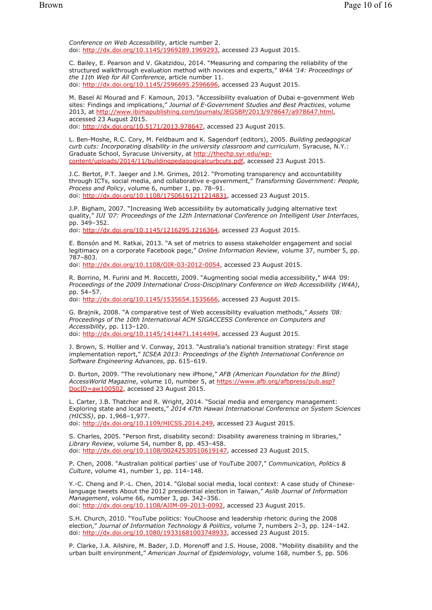*Conference on Web Accessibility*, article number 2. doi: http://dx.doi.org/10.1145/1969289.1969293, accessed 23 August 2015.

C. Bailey, E. Pearson and V. Gkatzidou, 2014. "Measuring and comparing the reliability of the structured walkthrough evaluation method with novices and experts," *W4A '14: Proceedings of the 11th Web for All Conference*, article number 11. doi: http://dx.doi.org/10.1145/2596695.2596696, accessed 23 August 2015.

M. Basel Al Mourad and F. Kamoun, 2013. "Accessibility evaluation of Dubai e-government Web sites: Findings and implications," *Journal of E-Government Studies and Best Practices*, volume 2013, at http://www.ibimapublishing.com/journals/JEGSBP/2013/978647/a978647.html, accessed 23 August 2015.

doi: http://dx.doi.org/10.5171/2013.978647, accessed 23 August 2015.

L. Ben-Moshe, R.C. Cory, M. Feldbaum and K. Sagendorf (editors), 2005. *Building pedagogical curb cuts: Incorporating disability in the university classroom and curriculum*. Syracuse, N.Y.: Graduate School, Syracuse University, at http://thechp.syr.edu/wpcontent/uploads/2014/11/buildingpedagogicalcurbcuts.pdf, accessed 23 August 2015.

J.C. Bertot, P.T. Jaeger and J.M. Grimes, 2012. "Promoting transparency and accountability through ICTs, social media, and collaborative e-government," *Transforming Government: People, Process and Policy*, volume 6, number 1, pp. 78–91. doi: http://dx.doi.org/10.1108/17506161211214831, accessed 23 August 2015.

J.P. Bigham, 2007. "Increasing Web accessibility by automatically judging alternative text quality," *IUI '07: Proceedings of the 12th International Conference on Intelligent User Interfaces*, pp. 349–352.

doi: http://dx.doi.org/10.1145/1216295.1216364, accessed 23 August 2015.

E. Bonsón and M. Ratkai, 2013. "A set of metrics to assess stakeholder engagement and social legitimacy on a corporate Facebook page," *Online Information Review*, volume 37, number 5, pp. 787–803.

doi: http://dx.doi.org/10.1108/OIR-03-2012-0054, accessed 23 August 2015.

R. Borrino, M. Furini and M. Roccetti, 2009. "Augmenting social media accessibility," *W4A '09: Proceedings of the 2009 International Cross-Disciplinary Conference on Web Accessibililty (W4A)*, pp. 54–57.

doi: http://dx.doi.org/10.1145/1535654.1535666, accessed 23 August 2015.

G. Brajnik, 2008. "A comparative test of Web accessibility evaluation methods," *Assets '08: Proceedings of the 10th International ACM SIGACCESS Conference on Computers and Accessibility*, pp. 113–120. doi: http://dx.doi.org/10.1145/1414471.1414494, accessed 23 August 2015.

J. Brown, S. Hollier and V. Conway, 2013. "Australia's national transition strategy: First stage implementation report," *ICSEA 2013: Proceedings of the Eighth International Conference on Software Engineering Advances*, pp. 615–619.

D. Burton, 2009. "The revolutionary new iPhone," *AFB (American Foundation for the Blind) AccessWorld Magazine*, volume 10, number 5, at https://www.afb.org/afbpress/pub.asp? DocID=aw100502, accessed 23 August 2015.

L. Carter, J.B. Thatcher and R. Wright, 2014. "Social media and emergency management: Exploring state and local tweets," *2014 47th Hawaii International Conference on System Sciences (HICSS)*, pp. 1,968–1,977. doi: http://dx.doi.org/10.1109/HICSS.2014.249, accessed 23 August 2015.

S. Charles, 2005. "Person first, disability second: Disability awareness training in libraries," *Library Review*, volume 54, number 8, pp. 453–458. doi: http://dx.doi.org/10.1108/00242530510619147, accessed 23 August 2015.

P. Chen, 2008. "Australian political parties' use of YouTube 2007," *Communication, Politics & Culture*, volume 41, number 1, pp. 114–148.

Y.-C. Cheng and P.-L. Chen, 2014. "Global social media, local context: A case study of Chineselanguage tweets About the 2012 presidential election in Taiwan," *Aslib Journal of Information Management*, volume 66, number 3, pp. 342–356. doi: http://dx.doi.org/10.1108/AJIM-09-2013-0092, accessed 23 August 2015.

S.H. Church, 2010. "YouTube politics: YouChoose and leadership rhetoric during the 2008 election," *Journal of Information Technology & Politics*, volume 7, numbers 2–3, pp. 124–142. doi: http://dx.doi.org/10.1080/19331681003748933, accessed 23 August 2015.

P. Clarke, J.A. Ailshire, M. Bader, J.D. Morenoff and J.S. House, 2008. "Mobility disability and the urban built environment," *American Journal of Epidemiology*, volume 168, number 5, pp. 506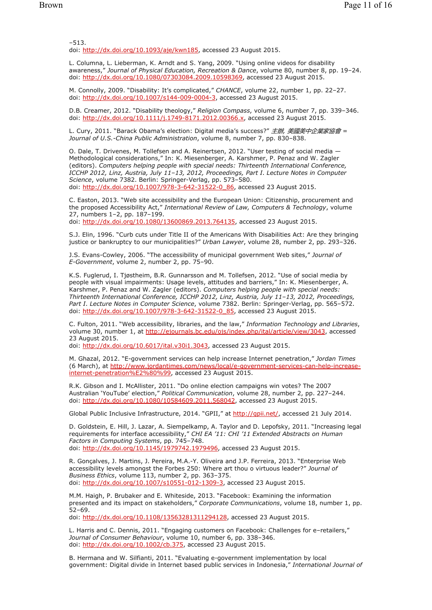–513.

doi: http://dx.doi.org/10.1093/aje/kwn185, accessed 23 August 2015.

L. Columna, L. Lieberman, K. Arndt and S. Yang, 2009. "Using online videos for disability awareness," *Journal of Physical Education, Recreation & Dance*, volume 80, number 8, pp. 19–24. doi: http://dx.doi.org/10.1080/07303084.2009.10598369, accessed 23 August 2015.

M. Connolly, 2009. "Disability: It's complicated," *CHANCE*, volume 22, number 1, pp. 22–27. doi: http://dx.doi.org/10.1007/s144-009-0004-3, accessed 23 August 2015.

D.B. Creamer, 2012. "Disability theology," *Religion Compass*, volume 6, number 7, pp. 339–346. doi: http://dx.doi.org/10.1111/j.1749-8171.2012.00366.x, accessed 23 August 2015.

L. Cury, 2011. "Barack Obama's election: Digital media's success?" 主辦*,* 美國美中企業家協會 *= Journal of U.S.-China Public Administration*, volume 8, number 7, pp. 830–838.

O. Dale, T. Drivenes, M. Tollefsen and A. Reinertsen, 2012. "User testing of social media — Methodological considerations," In: K. Miesenberger, A. Karshmer, P. Penaz and W. Zagler (editors). *Computers helping people with special needs: Thirteenth International Conference, ICCHP 2012, Linz, Austria, July 11–13, 2012, Proceedings, Part I*. *Lecture Notes in Computer Science*, volume 7382. Berlin: Springer-Verlag, pp. 573–580. doi: http://dx.doi.org/10.1007/978-3-642-3152

C. Easton, 2013. "Web site accessibility and the European Union: Citizenship, procurement and the proposed Accessibility Act," *International Review of Law, Computers & Technology*, volume 27, numbers 1–2, pp. 187–199. doi: http://dx.doi.org/10.1080/13600869.2013.764135, accessed 23 August 2015.

S.J. Elin, 1996. "Curb cuts under Title II of the Americans With Disabilities Act: Are they bringing justice or bankruptcy to our municipalities?" *Urban Lawyer*, volume 28, number 2, pp. 293–326.

J.S. Evans-Cowley, 2006. "The accessibility of municipal government Web sites," *Journal of E-Government*, volume 2, number 2, pp. 75–90.

K.S. Fuglerud, I. Tjøstheim, B.R. Gunnarsson and M. Tollefsen, 2012. "Use of social media by people with visual impairments: Usage levels, attitudes and barriers," In: K. Miesenberger, A. Karshmer, P. Penaz and W. Zagler (editors). *Computers helping people with special needs: Thirteenth International Conference, ICCHP 2012, Linz, Austria, July 11–13, 2012, Proceedings, Part I*. *Lecture Notes in Computer Science*, volume 7382. Berlin: Springer-Verlag, pp. 565–572. doi: http://dx.doi.org/10.1007/978-3-642-31522-0\_85, accessed 23 August 2015.

C. Fulton, 2011. "Web accessibility, libraries, and the law," *Information Technology and Libraries*, volume 30, number 1, at http://ejournals.bc.edu/ojs/index.php/ital/article/view/3043, accessed 23 August 2015.

doi: http://dx.doi.org/10.6017/ital.v30i1.3043, accessed 23 August 2015.

M. Ghazal, 2012. "E-government services can help increase Internet penetration," *Jordan Times* (6 March), at http://www.jordantimes.com/news/local/e-government-services-can-help-increaseinternet-penetration%E2%80%99, accessed 23 August 2015.

R.K. Gibson and I. McAllister, 2011. "Do online election campaigns win votes? The 2007 Australian 'YouTube' election," *Political Communication*, volume 28, number 2, pp. 227–244. doi: http://dx.doi.org/10.1080/10584609.2011.568042, accessed 23 August 2015.

Global Public Inclusive Infrastructure, 2014. "GPII," at http://qpii.net/, accessed 21 July 2014.

D. Goldstein, E. Hill, J. Lazar, A. Siempelkamp, A. Taylor and D. Lepofsky, 2011. "Increasing legal requirements for interface accessibility," *CHI EA '11: CHI '11 Extended Abstracts on Human Factors in Computing Systems*, pp. 745–748. doi: http://dx.doi.org/10.1145/1979742.1979496, accessed 23 August 2015.

R. Gonçalves, J. Martins, J. Pereira, M.A.-Y. Oliveira and J.P. Ferreira, 2013. "Enterprise Web accessibility levels amongst the Forbes 250: Where art thou o virtuous leader?" *Journal of Business Ethics*, volume 113, number 2, pp. 363–375. doi: http://dx.doi.org/10.1007/s10551-012-1309-3, accessed 23 August 2015.

M.M. Haigh, P. Brubaker and E. Whiteside, 2013. "Facebook: Examining the information presented and its impact on stakeholders," *Corporate Communications*, volume 18, number 1, pp. 52–69.

doi: http://dx.doi.org/10.1108/13563281311294128, accessed 23 August 2015.

L. Harris and C. Dennis, 2011. "Engaging customers on Facebook: Challenges for e–retailers," *Journal of Consumer Behaviour*, volume 10, number 6, pp. 338–346. doi: http://dx.doi.org/10.1002/cb.375, accessed 23 August 2015.

B. Hermana and W. Silfianti, 2011. "Evaluating e-government implementation by local government: Digital divide in Internet based public services in Indonesia," *International Journal of*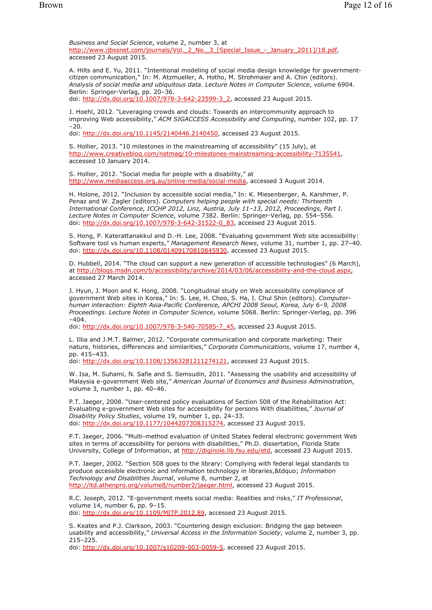*Business and Social Science*, volume 2, number 3, at http://www.ijbssnet.com/journals/Vol. 2 No. 3 [Special Issue - January 2011]/18.pdf, accessed 23 August 2015.

A. Hilts and E. Yu, 2011. "Intentional modeling of social media design knowledge for governmentcitizen communication," In: M. Atzmueller, A. Hotho, M. Strohmaier and A. Chin (editors). *Analysis of social media and ubiquitous data*. *Lecture Notes in Computer Science*, volume 6904. Berlin: Springer-Verlag, pp. 20–36. doi: http://dx.doi.org/10.1007/978-3-642-23599-3\_2, accessed 23 August 2015.

J. Hoehl, 2012. "Leveraging crowds and clouds: Towards an intercommunity approach to improving Web accessibility," *ACM SIGACCESS Accessibility and Computing*, number 102, pp. 17  $-20.$ 

doi: http://dx.doi.org/10.1145/2140446.2140450, accessed 23 August 2015.

S. Hollier, 2013. "10 milestones in the mainstreaming of accessibility" (15 July), at http://www.creativebloq.com/netmag/10-milestones-mainstreaming-accessibility-7135541, accessed 10 January 2014.

S. Hollier, 2012. "Social media for people with a disability," at http://www.mediaaccess.org.au/online-media/social-media, accessed 3 August 2014.

H. Holone, 2012. "Inclusion by accessible social media," In: K. Miesenberger, A. Karshmer, P. Penaz and W. Zagler (editors). *Computers helping people with special needs: Thirteenth International Conference, ICCHP 2012, Linz, Austria, July 11–13, 2012, Proceedings, Part I*. *Lecture Notes in Computer Science*, volume 7382. Berlin: Springer-Verlag, pp. 554–556. doi: http://dx.doi.org/10.1007/978-3-642-31522-0\_83, accessed 23 August 2015.

S. Hong, P. Katerattanakkul and D.-H. Lee, 2008. "Evaluating government Web site accessibility: Software tool vs human experts," *Management Research News*, volume 31, number 1, pp. 27–40. doi: http://dx.doi.org/10.1108/01409170810845930, accessed 23 August 2015.

D. Hubbell, 2014. "The cloud can support a new generation of accessible technologies" (6 March), at http://blogs.msdn.com/b/accessibility/archive/2014/03/06/accessibility-and-the-cloud.aspx, accessed 27 March 2014.

J. Hyun, J. Moon and K. Hong, 2008. "Longitudinal study on Web accessibility compliance of government Web sites in Korea," In: S. Lee, H. Choo, S. Ha, I. Chul Shin (editors). *Computerhuman interaction: Eighth Asia-Pacific Conference, APCHI 2008 Seoul, Korea, July 6–9, 2008 Proceedings*. *Lecture Notes in Computer Science*, volume 5068. Berlin: Springer-Verlag, pp. 396  $-404.$ 

doi: http://dx.doi.org/10.1007/978-3-540-70585-7\_45, accessed 23 August 2015.

L. Illia and J.M.T. Balmer, 2012. "Corporate communication and corporate marketing: Their nature, histories, differences and similarities," *Corporate Communications*, volume 17, number 4, pp. 415–433.

doi: http://dx.doi.org/10.1108/13563281211274121, accessed 23 August 2015.

W. Isa, M. Suhami, N. Safie and S. Semsudin, 2011. "Assessing the usability and accessibility of Malaysia e-government Web site," *American Journal of Economics and Business Administration*, volume 3, number 1, pp. 40–46.

P.T. Jaeger, 2008. "User-centered policy evaluations of Section 508 of the Rehabilitation Act: Evaluating e-government Web sites for accessibility for persons With disabilities," *Journal of Disability Policy Studies*, volume 19, number 1, pp. 24–33. doi: http://dx.doi.org/10.1177/1044207308315274, accessed 23 August 2015.

P.T. Jaeger, 2006. "Multi-method evaluation of United States federal electronic government Web sites in terms of accessibility for persons with disabilities," Ph.D. dissertation, Florida State University, College of Information, at http://diginole.lib.fsu.edu/etd, accessed 23 August 2015.

P.T. Jaeger, 2002. "Section 508 goes to the library: Complying with federal legal standards to produce accessible electronic and information technology in libraries,&tdquo; *Information Technology and Disabilities Journal*, volume 8, number 2, at http://itd.athenpro.org/volume8/number2/jaeger.html, accessed 23 August 2015.

R.C. Joseph, 2012. "E-government meets social media: Realities and risks," *IT Professional*, volume 14, number 6, pp. 9–15. doi: http://dx.doi.org/10.1109/MITP.2012.89, accessed 23 August 2015.

S. Keates and P.J. Clarkson, 2003. "Countering design exclusion: Bridging the gap between usability and accessibility," *Universal Access in the Information Society*, volume 2, number 3, pp. 215–225.

doi: http://dx.doi.org/10.1007/s10209-003-0059-5, accessed 23 August 2015.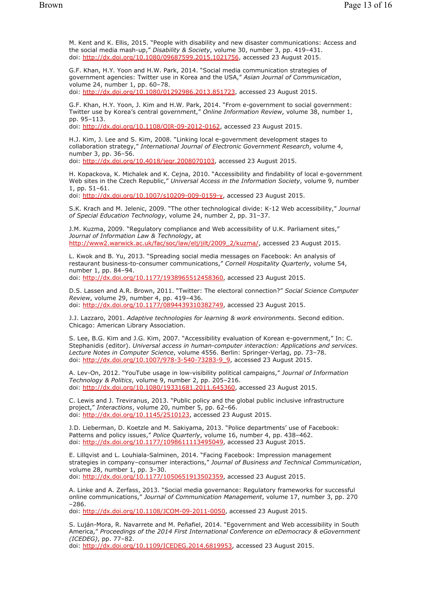M. Kent and K. Ellis, 2015. "People with disability and new disaster communications: Access and the social media mash-up," *Disability & Society*, volume 30, number 3, pp. 419–431. doi: http://dx.doi.org/10.1080/09687599.2015.1021756, accessed 23 August 2015.

G.F. Khan, H.Y. Yoon and H.W. Park, 2014. "Social media communication strategies of government agencies: Twitter use in Korea and the USA," *Asian Journal of Communication*, volume 24, number 1, pp. 60–78. doi: http://dx.doi.org/10.1080/01292986.2013.851723, accessed 23 August 2015.

G.F. Khan, H.Y. Yoon, J. Kim and H.W. Park, 2014. "From e-government to social government: Twitter use by Korea's central government," *Online Information Review*, volume 38, number 1, pp. 95–113.

doi: http://dx.doi.org/10.1108/OIR-09-2012-0162, accessed 23 August 2015.

H.J. Kim, J. Lee and S. Kim, 2008. "Linking local e-government development stages to collaboration strategy," *International Journal of Electronic Government Research*, volume 4, number 3, pp. 36–56. doi: http://dx.doi.org/10.4018/jegr.2008070103, accessed 23 August 2015.

H. Kopackova, K. Michalek and K. Cejna, 2010. "Accessibility and findability of local e-government Web sites in the Czech Republic," *Universal Access in the Information Society*, volume 9, number 1, pp. 51–61.

doi: http://dx.doi.org/10.1007/s10209-009-0159-y, accessed 23 August 2015.

S.K. Krach and M. Jelenic, 2009. "The other technological divide: K-12 Web accessibility," *Journal of Special Education Technology*, volume 24, number 2, pp. 31–37.

J.M. Kuzma, 2009. "Regulatory compliance and Web accessibility of U.K. Parliament sites," *Journal of Information Law & Technology*, at http://www2.warwick.ac.uk/fac/soc/law/elj/jilt/2009\_2/kuzma/, accessed 23 August 2015.

L. Kwok and B. Yu, 2013. "Spreading social media messages on Facebook: An analysis of restaurant business-to-consumer communications," *Cornell Hospitality Quarterly*, volume 54, number 1, pp. 84–94. doi: http://dx.doi.org/10.1177/1938965512458360, accessed 23 August 2015.

D.S. Lassen and A.R. Brown, 2011. "Twitter: The electoral connection?" *Social Science Computer Review*, volume 29, number 4, pp. 419–436. doi: http://dx.doi.org/10.1177/0894439310382749, accessed 23 August 2015.

J.J. Lazzaro, 2001. *Adaptive technologies for learning & work environments*. Second edition. Chicago: American Library Association.

S. Lee, B.G. Kim and J.G. Kim, 2007. "Accessibility evaluation of Korean e-government," In: C. Stephanidis (editor). *Universal access in human-computer interaction: Applications and services*. *Lecture Notes in Computer Science*, volume 4556. Berlin: Springer-Verlag, pp. 73–78. doi: http://dx.doi.org/10.1007/978-3-540-73283-9\_9, accessed 23 August 2015.

A. Lev-On, 2012. "YouTube usage in low-visibility political campaigns," *Journal of Information Technology & Politics*, volume 9, number 2, pp. 205–216. doi: http://dx.doi.org/10.1080/19331681.2011.645360, accessed 23 August 2015.

C. Lewis and J. Treviranus, 2013. "Public policy and the global public inclusive infrastructure project," *Interactions*, volume 20, number 5, pp. 62–66. doi: http://dx.doi.org/10.1145/2510123, accessed 23 August 2015.

J.D. Lieberman, D. Koetzle and M. Sakiyama, 2013. "Police departments' use of Facebook: Patterns and policy issues," *Police Quarterly*, volume 16, number 4, pp. 438–462. doi: http://dx.doi.org/10.1177/1098611113495049, accessed 23 August 2015.

E. Lillqvist and L. Louhiala-Salminen, 2014. "Facing Facebook: Impression management strategies in company–consumer interactions," *Journal of Business and Technical Communication*, volume 28, number 1, pp. 3–30.

doi: http://dx.doi.org/10.1177/1050651913502359, accessed 23 August 2015.

A. Linke and A. Zerfass, 2013. "Social media governance: Regulatory frameworks for successful online communications," *Journal of Communication Management*, volume 17, number 3, pp. 270 –286.

doi: http://dx.doi.org/10.1108/JCOM-09-2011-0050, accessed 23 August 2015.

S. Luján-Mora, R. Navarrete and M. Peñafiel, 2014. "Egovernment and Web accessibility in South America," *Proceedings of the 2014 First International Conference on eDemocracy & eGovernment (ICEDEG)*, pp. 77–82.

doi: http://dx.doi.org/10.1109/ICEDEG.2014.6819953, accessed 23 August 2015.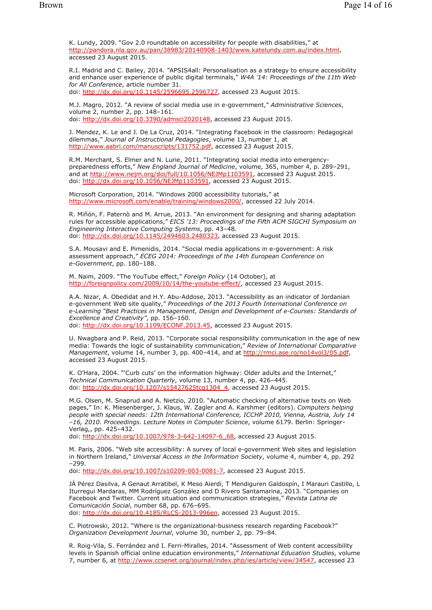K. Lundy, 2009. "Gov 2.0 roundtable on accessibility for people with disabilities," at http://pandora.nla.gov.au/pan/38983/20140908-1403/www.katelundy.com.au/index.html, accessed 23 August 2015.

R.I. Madrid and C. Bailey, 2014. "APSIS4all: Personalisation as a strategy to ensure accessibility and enhance user experience of public digital terminals," *W4A '14: Proceedings of the 11th Web for All Conference*, article number 31. doi: http://dx.doi.org/10.1145/2596695.2596727, accessed 23 August 2015.

M.J. Magro, 2012. "A review of social media use in e-government," *Administrative Sciences*, volume 2, number 2, pp. 148–161. doi: http://dx.doi.org/10.3390/admsci2020148, accessed 23 August 2015.

J. Mendez, K. Le and J. De La Cruz, 2014. "Integrating Facebook in the classroom: Pedagogical dilemmas," *Journal of Instructional Pedagogies*, volume 13, number 1, at http://www.aabri.com/manuscripts/131752.pdf, accessed 23 August 2015.

R.M. Merchant, S. Elmer and N. Lurie, 2011. "Integrating social media into emergencypreparedness efforts," *New England Journal of Medicine*, volume, 365, number 4, p. 289–291, and at http://www.nejm.org/doi/full/10.1056/NEJMp1103591, accessed 23 August 2015. doi: http://dx.doi.org/10.1056/NEJMp1103591, accessed 23 August 2015.

Microsoft Corporation, 2014. "Windows 2000 accessibility tutorials," at http://www.microsoft.com/enable/training/windows2000/, accessed 22 July 2014.

R. Miñón, F. Paternò and M. Arrue, 2013. "An environment for designing and sharing adaptation rules for accessible applications," *EICS '13: Proceedings of the Fifth ACM SIGCHI Symposium on Engineering Interactive Computing Systems*, pp. 43–48. doi: http://dx.doi.org/10.1145/2494603.2480323, accessed 23 August 2015.

S.A. Mousavi and E. Pimenidis, 2014. "Social media applications in e-government: A risk assessment approach," *ECEG 2014: Proceedings of the 14th European Conference on e-Government*, pp. 180–188.

M. Naim, 2009. "The YouTube effect," *Foreign Policy* (14 October), at http://foreignpolicy.com/2009/10/14/the-youtube-effect/, accessed 23 August 2015.

A.A. Nizar, A. Obedidat and H.Y. Abu-Addose, 2013. "Accessibility as an indicator of Jordanian e-government Web site quality," *Proceedings of the 2013 Fourth International Conference on e-Learning "Best Practices in Management, Design and Development of e-Courses: Standards of Excellence and Creativity"*, pp. 156–160. doi: http://dx.doi.org/10.1109/ECONF.2013.45, accessed 23 August 2015.

U. Nwagbara and P. Reid, 2013. "Corporate social responsibility communication in the age of new media: Towards the logic of sustainability communication," *Review of International Comparative Management*, volume 14, number 3, pp. 400–414, and at http://rmci.ase.ro/no14vol3/05.pdf, accessed 23 August 2015.

K. O'Hara, 2004. "'Curb cuts' on the information highway: Older adults and the Internet," *Technical Communication Quarterly*, volume 13, number 4, pp. 426–445. doi: http://dx.doi.org/10.1207/s15427625tcq1304\_4, accessed 23 August 2015.

M.G. Olsen, M. Snaprud and A. Nietzio, 2010. "Automatic checking of alternative texts on Web pages," In: K. Miesenberger, J. Klaus, W. Zagler and A. Karshmer (editors). *Computers helping people with special needs: 12th International Conference, ICCHP 2010, Vienna, Austria, July 14 –16, 2010. Proceedings*. *Lecture Notes in Computer Science*, volume 6179. Berlin: Springer-Verlag,, pp. 425–432.

doi: http://dx.doi.org/10.1007/978-3-642-14097-6\_68, accessed 23 August 2015.

M. Paris, 2006. "Web site accessibility: A survey of local e-government Web sites and legislation in Northern Ireland," *Universal Access in the Information Society*, volume 4, number 4, pp. 292 –299.

doi: http://dx.doi.org/10.1007/s10209-003-0081-7, accessed 23 August 2015.

JÁ Pérez Dasilva, A Genaut Arratibel, K Meso Aierdi, T Mendiguren Galdospín, I Marauri Castillo, L Iturregui Mardaras, MM Rodríguez González and D Rivero Santamarina, 2013. "Companies on Facebook and Twitter. Current situation and communication strategies," *Revista Latina de Comunicación Social*, number 68, pp. 676–695. doi: http://dx.doi.org/10.4185/RLCS-2013-996en, accessed 23 August 2015.

C. Piotrowski, 2012. "Where is the organizational-business research regarding Facebook?" *Organization Development Journal*, volume 30, number 2, pp. 79–84.

R. Roig-Vila, S. Ferrández and I. Ferri-Miralles, 2014. "Assessment of Web content accessibility levels in Spanish official online education environments," *International Education Studies*, volume 7, number 6, at http://www.ccsenet.org/journal/index.php/ies/article/view/34547, accessed 23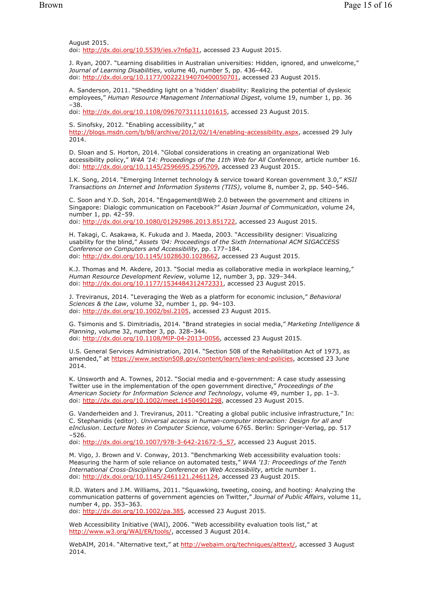August 2015. doi: http://dx.doi.org/10.5539/ies.v7n6p31, accessed 23 August 2015.

J. Ryan, 2007. "Learning disabilities in Australian universities: Hidden, ignored, and unwelcome," *Journal of Learning Disabilities*, volume 40, number 5, pp. 436–442. doi: http://dx.doi.org/10.1177/00222194070400050701, accessed 23 August 2015.

A. Sanderson, 2011. "Shedding light on a 'hidden' disability: Realizing the potential of dyslexic employees," *Human Resource Management International Digest*, volume 19, number 1, pp. 36 –38.

doi: http://dx.doi.org/10.1108/09670731111101615, accessed 23 August 2015.

S. Sinofsky, 2012. "Enabling accessibility," at

http://blogs.msdn.com/b/b8/archive/2012/02/14/enabling-accessibility.aspx, accessed 29 July 2014.

D. Sloan and S. Horton, 2014. "Global considerations in creating an organizational Web accessibility policy," *W4A '14: Proceedings of the 11th Web for All Conference*, article number 16. doi: http://dx.doi.org/10.1145/2596695.2596709, accessed 23 August 2015.

I.K. Song, 2014. "Emerging Internet technology & service toward Korean government 3.0," *KSII Transactions on Internet and Information Systems (TIIS)*, volume 8, number 2, pp. 540–546.

C. Soon and Y.D. Soh, 2014. "Engagement@Web 2.0 between the government and citizens in Singapore: Dialogic communication on Facebook?" *Asian Journal of Communication*, volume 24, number 1, pp. 42–59. doi: http://dx.doi.org/10.1080/01292986.2013.851722, accessed 23 August 2015.

H. Takagi, C. Asakawa, K. Fukuda and J. Maeda, 2003. "Accessibility designer: Visualizing usability for the blind," *Assets '04: Proceedings of the Sixth International ACM SIGACCESS Conference on Computers and Accessibility*, pp. 177–184. doi: http://dx.doi.org/10.1145/1028630.1028662, accessed 23 August 2015.

K.J. Thomas and M. Akdere, 2013. "Social media as collaborative media in workplace learning," *Human Resource Development Review*, volume 12, number 3, pp. 329–344. doi: http://dx.doi.org/10.1177/1534484312472331, accessed 23 August 2015.

J. Treviranus, 2014. "Leveraging the Web as a platform for economic inclusion," *Behavioral Sciences & the Law*, volume 32, number 1, pp. 94–103. doi: http://dx.doi.org/10.1002/bsl.2105, accessed 23 August 2015.

G. Tsimonis and S. Dimitriadis, 2014. "Brand strategies in social media," *Marketing Intelligence & Planning*, volume 32, number 3, pp. 328–344. doi: http://dx.doi.org/10.1108/MIP-04-2013-0056, accessed 23 August 2015.

U.S. General Services Administration, 2014. "Section 508 of the Rehabilitation Act of 1973, as amended," at https://www.section508.gov/content/learn/laws-and-policies, accessed 23 June 2014.

K. Unsworth and A. Townes, 2012. "Social media and e-government: A case study assessing Twitter use in the implementation of the open government directive," *Proceedings of the American Society for Information Science and Technology*, volume 49, number 1, pp. 1–3. doi: http://dx.doi.org/10.1002/meet.14504901298, accessed 23 August 2015.

G. Vanderheiden and J. Treviranus, 2011. "Creating a global public inclusive infrastructure," In: C. Stephanidis (editor). *Universal access in human-computer interaction: Design for all and eInclusion*. *Lecture Notes in Computer Science*, volume 6765. Berlin: Springer-Verlag, pp. 517 –526.

doi: http://dx.doi.org/10.1007/978-3-642-21672-5\_57, accessed 23 August 2015.

M. Vigo, J. Brown and V. Conway, 2013. "Benchmarking Web accessibility evaluation tools: Measuring the harm of sole reliance on automated tests," *W4A '13: Proceedings of the Tenth International Cross-Disciplinary Conference on Web Accessibility*, article number 1. doi: http://dx.doi.org/10.1145/2461121.2461124, accessed 23 August 2015.

R.D. Waters and J.M. Williams, 2011. "Squawking, tweeting, cooing, and hooting: Analyzing the communication patterns of government agencies on Twitter," *Journal of Public Affairs*, volume 11, number 4, pp. 353–363.

doi: http://dx.doi.org/10.1002/pa.385, accessed 23 August 2015.

Web Accessibility Initiative (WAI), 2006. "Web accessibility evaluation tools list," at http://www.w3.org/WAI/ER/tools/, accessed 3 August 2014.

WebAIM, 2014. "Alternative text," at http://webaim.org/techniques/alttext/, accessed 3 August 2014.